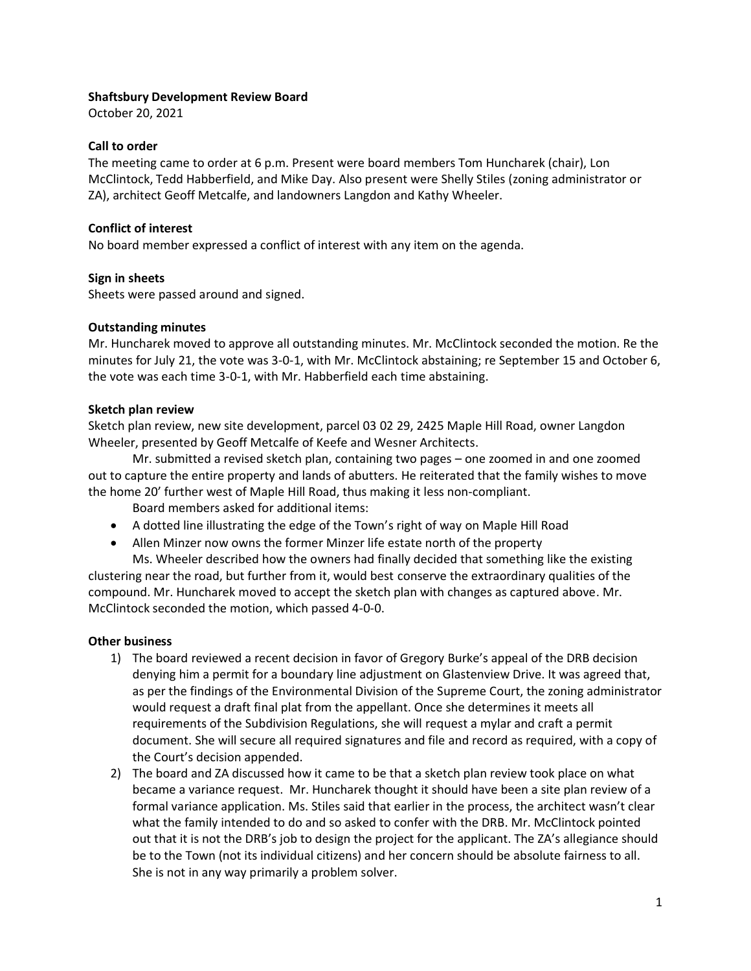## **Shaftsbury Development Review Board**

October 20, 2021

# **Call to order**

The meeting came to order at 6 p.m. Present were board members Tom Huncharek (chair), Lon McClintock, Tedd Habberfield, and Mike Day. Also present were Shelly Stiles (zoning administrator or ZA), architect Geoff Metcalfe, and landowners Langdon and Kathy Wheeler.

## **Conflict of interest**

No board member expressed a conflict of interest with any item on the agenda.

### **Sign in sheets**

Sheets were passed around and signed.

### **Outstanding minutes**

Mr. Huncharek moved to approve all outstanding minutes. Mr. McClintock seconded the motion. Re the minutes for July 21, the vote was 3-0-1, with Mr. McClintock abstaining; re September 15 and October 6, the vote was each time 3-0-1, with Mr. Habberfield each time abstaining.

### **Sketch plan review**

Sketch plan review, new site development, parcel 03 02 29, 2425 Maple Hill Road, owner Langdon Wheeler, presented by Geoff Metcalfe of Keefe and Wesner Architects.

Mr. submitted a revised sketch plan, containing two pages – one zoomed in and one zoomed out to capture the entire property and lands of abutters. He reiterated that the family wishes to move the home 20' further west of Maple Hill Road, thus making it less non-compliant.

Board members asked for additional items:

- A dotted line illustrating the edge of the Town's right of way on Maple Hill Road
- Allen Minzer now owns the former Minzer life estate north of the property

Ms. Wheeler described how the owners had finally decided that something like the existing clustering near the road, but further from it, would best conserve the extraordinary qualities of the compound. Mr. Huncharek moved to accept the sketch plan with changes as captured above. Mr. McClintock seconded the motion, which passed 4-0-0.

# **Other business**

- 1) The board reviewed a recent decision in favor of Gregory Burke's appeal of the DRB decision denying him a permit for a boundary line adjustment on Glastenview Drive. It was agreed that, as per the findings of the Environmental Division of the Supreme Court, the zoning administrator would request a draft final plat from the appellant. Once she determines it meets all requirements of the Subdivision Regulations, she will request a mylar and craft a permit document. She will secure all required signatures and file and record as required, with a copy of the Court's decision appended.
- 2) The board and ZA discussed how it came to be that a sketch plan review took place on what became a variance request. Mr. Huncharek thought it should have been a site plan review of a formal variance application. Ms. Stiles said that earlier in the process, the architect wasn't clear what the family intended to do and so asked to confer with the DRB. Mr. McClintock pointed out that it is not the DRB's job to design the project for the applicant. The ZA's allegiance should be to the Town (not its individual citizens) and her concern should be absolute fairness to all. She is not in any way primarily a problem solver.